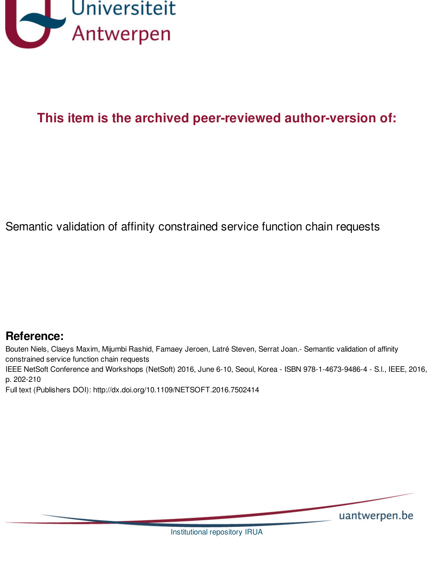

## **This item is the archived peer-reviewed author-version of:**

Semantic validation of affinity constrained service function chain requests

### **Reference:**

Bouten Niels, Claeys Maxim, Mijumbi Rashid, Famaey Jeroen, Latré Steven, Serrat Joan.- Semantic validation of affinity constrained service function chain requests

IEEE NetSoft Conference and Workshops (NetSoft) 2016, June 6-10, Seoul, Korea - ISBN 978-1-4673-9486-4 - S.l., IEEE, 2016, p. 202-210

Full text (Publishers DOI): http://dx.doi.org/10.1109/NETSOFT.2016.7502414

uantwerpen.be

[Institutional](http://anet.uantwerpen.be/irua) repository IRUA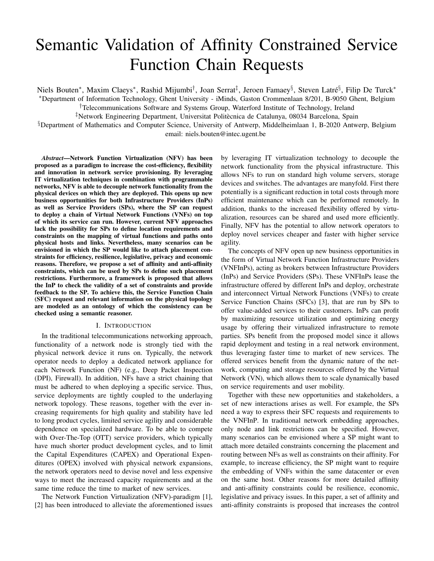# Semantic Validation of Affinity Constrained Service Function Chain Requests

Niels Bouten<sup>\*</sup>, Maxim Claeys<sup>\*</sup>, Rashid Mijumbi<sup>†</sup>, Joan Serrat<sup>‡</sup>, Jeroen Famaey<sup>§</sup>, Steven Latré<sup>§</sup>, Filip De Turck<sup>\*</sup> ⇤Department of Information Technology, Ghent University - iMinds, Gaston Crommenlaan 8/201, B-9050 Ghent, Belgium

*†*Telecommunications Software and Systems Group, Waterford Institute of Technology, Ireland

*‡*Network Engineering Department, Universitat Politecnica de Catalunya, 08034 Barcelona, Spain `

*§*Department of Mathematics and Computer Science, University of Antwerp, Middelheimlaan 1, B-2020 Antwerp, Belgium email: niels.bouten@intec.ugent.be

*Abstract*—Network Function Virtualization (NFV) has been proposed as a paradigm to increase the cost-efficiency, flexibility and innovation in network service provisioning. By leveraging IT virtualization techniques in combination with programmable networks, NFV is able to decouple network functionality from the physical devices on which they are deployed. This opens up new business opportunities for both Infrastructure Providers (InPs) as well as Service Providers (SPs), where the SP can request to deploy a chain of Virtual Network Functions (VNFs) on top of which its service can run. However, current NFV approaches lack the possibility for SPs to define location requirements and constraints on the mapping of virtual functions and paths onto physical hosts and links. Nevertheless, many scenarios can be envisioned in which the SP would like to attach placement constraints for efficiency, resilience, legislative, privacy and economic reasons. Therefore, we propose a set of affinity and anti-affinity constraints, which can be used by SPs to define such placement restrictions. Furthermore, a framework is proposed that allows the InP to check the validity of a set of constraints and provide feedback to the SP. To achieve this, the Service Function Chain (SFC) request and relevant information on the physical topology are modeled as an ontology of which the consistency can be checked using a semantic reasoner.

#### I. INTRODUCTION

In the traditional telecommunications networking approach, functionality of a network node is strongly tied with the physical network device it runs on. Typically, the network operator needs to deploy a dedicated network appliance for each Network Function (NF) (e.g., Deep Packet Inspection (DPI), Firewall). In addition, NFs have a strict chaining that must be adhered to when deploying a specific service. Thus, service deployments are tightly coupled to the underlaying network topology. These reasons, together with the ever increasing requirements for high quality and stability have led to long product cycles, limited service agility and considerable dependence on specialized hardware. To be able to compete with Over-The-Top (OTT) service providers, which typically have much shorter product development cycles, and to limit the Capital Expenditures (CAPEX) and Operational Expenditures (OPEX) involved with physical network expansions, the network operators need to devise novel and less expensive ways to meet the increased capacity requirements and at the same time reduce the time to market of new services.

The Network Function Virtualization (NFV)-paradigm [1], [2] has been introduced to alleviate the aforementioned issues by leveraging IT virtualization technology to decouple the network functionality from the physical infrastructure. This allows NFs to run on standard high volume servers, storage devices and switches. The advantages are manyfold. First there potentially is a significant reduction in total costs through more efficient maintenance which can be performed remotely. In addition, thanks to the increased flexibility offered by virtualization, resources can be shared and used more efficiently. Finally, NFV has the potential to allow network operators to deploy novel services cheaper and faster with higher service agility.

The concepts of NFV open up new business opportunities in the form of Virtual Network Function Infrastructure Providers (VNFInPs), acting as brokers between Infrastructure Providers (InPs) and Service Providers (SPs). These VNFInPs lease the infrastructure offered by different InPs and deploy, orchestrate and interconnect Virtual Network Functions (VNFs) to create Service Function Chains (SFCs) [3], that are run by SPs to offer value-added services to their customers. InPs can profit by maximizing resource utilization and optimizing energy usage by offering their virtualized infrastructure to remote parties. SPs benefit from the proposed model since it allows rapid deployment and testing in a real network environment, thus leveraging faster time to market of new services. The offered services benefit from the dynamic nature of the network, computing and storage resources offered by the Virtual Network (VN), which allows them to scale dynamically based on service requirements and user mobility.

Together with these new opportunities and stakeholders, a set of new interactions arises as well. For example, the SPs need a way to express their SFC requests and requirements to the VNFInP. In traditional network embedding approaches, only node and link restrictions can be specified. However, many scenarios can be envisioned where a SP might want to attach more detailed constraints concerning the placement and routing between NFs as well as constraints on their affinity. For example, to increase efficiency, the SP might want to require the embedding of VNFs within the same datacenter or even on the same host. Other reasons for more detailed affinity and anti-affinity constraints could be resilience, economic, legislative and privacy issues. In this paper, a set of affinity and anti-affinity constraints is proposed that increases the control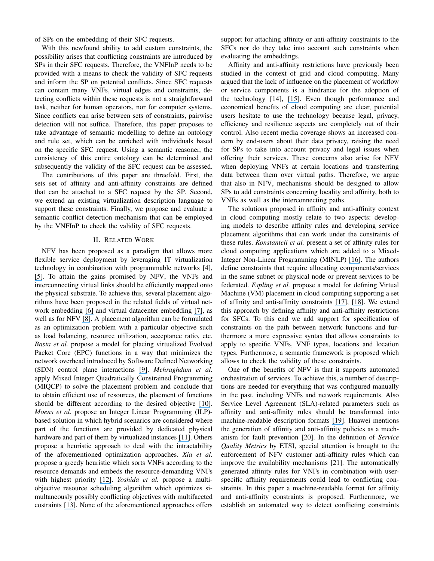of SPs on the embedding of their SFC requests.

With this newfound ability to add custom constraints, the possibility arises that conflicting constraints are introduced by SPs in their SFC requests. Therefore, the VNFInP needs to be provided with a means to check the validity of SFC requests and inform the SP on potential conflicts. Since SFC requests can contain many VNFs, virtual edges and constraints, detecting conflicts within these requests is not a straightforward task, neither for human operators, nor for computer systems. Since conflicts can arise between sets of constraints, pairwise detection will not suffice. Therefore, this paper proposes to take advantage of semantic modelling to define an ontology and rule set, which can be enriched with individuals based on the specific SFC request. Using a semantic reasoner, the consistency of this entire ontology can be determined and subsequently the validity of the SFC request can be assessed.

The contributions of this paper are threefold. First, the sets set of affinity and anti-affinity constraints are defined that can be attached to a SFC request by the SP. Second, we extend an existing virtualization description language to support these constraints. Finally, we propose and evaluate a semantic conflict detection mechanism that can be employed by the VNFInP to check the validity of SFC requests.

#### II. RELATED WORK

NFV has been proposed as a paradigm that allows more flexible service deployment by leveraging IT virtualization technology in combination with programmable networks [4], [\[5\]](https://www.researchgate.net/publication/273395007_Network_Function_Virtualization_Challenges_and_Opportunities_for_Innovations?el=1_x_8&enrichId=rgreq-908ed396c7b409fbef5d1551ddf42111-XXX&enrichSource=Y292ZXJQYWdlOzI5ODE2NzkzMDtBUzozMzk0NjgzNTY3MzQ5NzZAMTQ1Nzk0Njk3MTkyNw==). To attain the gains promised by NFV, the VNFs and interconnecting virtual links should be efficiently mapped onto the physical substrate. To achieve this, several placement algorithms have been proposed in the related fields of virtual network embedding [\[6\]](https://www.researchgate.net/publication/236158064_Virtual_Network_Embedding_A_Survey?el=1_x_8&enrichId=rgreq-908ed396c7b409fbef5d1551ddf42111-XXX&enrichSource=Y292ZXJQYWdlOzI5ODE2NzkzMDtBUzozMzk0NjgzNTY3MzQ5NzZAMTQ1Nzk0Njk3MTkyNw==) and virtual datacenter embedding [\[7\]](https://www.researchgate.net/publication/260670876_Data_Center_Network_Virtualization_A_Survey?el=1_x_8&enrichId=rgreq-908ed396c7b409fbef5d1551ddf42111-XXX&enrichSource=Y292ZXJQYWdlOzI5ODE2NzkzMDtBUzozMzk0NjgzNTY3MzQ5NzZAMTQ1Nzk0Njk3MTkyNw==), as well as for NFV [\[8\]](https://www.researchgate.net/publication/281524200_Network_Function_Virtualization_State-of-the-art_and_Research_Challenges?el=1_x_8&enrichId=rgreq-908ed396c7b409fbef5d1551ddf42111-XXX&enrichSource=Y292ZXJQYWdlOzI5ODE2NzkzMDtBUzozMzk0NjgzNTY3MzQ5NzZAMTQ1Nzk0Njk3MTkyNw==). A placement algorithm can be formulated as an optimization problem with a particular objective such as load balancing, resource utilization, acceptance ratio, etc. *Basta et al.* propose a model for placing virtualized Evolved Packet Core (EPC) functions in a way that minimizes the network overhead introduced by Software Defined Networking (SDN) control plane interactions [\[9\]](https://www.researchgate.net/publication/266660724_Applying_NFV_and_SDN_to_LTE_mobile_core_gateways_the_functions_placement_problem?el=1_x_8&enrichId=rgreq-908ed396c7b409fbef5d1551ddf42111-XXX&enrichSource=Y292ZXJQYWdlOzI5ODE2NzkzMDtBUzozMzk0NjgzNTY3MzQ5NzZAMTQ1Nzk0Njk3MTkyNw==). *Mehraghdam et al.* apply Mixed Integer Quadratically Constrained Programming (MIQCP) to solve the placement problem and conclude that to obtain efficient use of resources, the placment of functions should be different according to the desired objective [\[10\]](https://www.researchgate.net/publication/262877871_Specifying_and_Placing_Chains_of_Virtual_Network_Functions?el=1_x_8&enrichId=rgreq-908ed396c7b409fbef5d1551ddf42111-XXX&enrichSource=Y292ZXJQYWdlOzI5ODE2NzkzMDtBUzozMzk0NjgzNTY3MzQ5NzZAMTQ1Nzk0Njk3MTkyNw==). *Moens et al.* propose an Integer Linear Programming (ILP) based solution in which hybrid scenarios are considered where part of the functions are provided by dedicated physical hardware and part of them by virtualized instances [\[11\]](https://www.researchgate.net/publication/268800292_VNF-P_A_Model_for_Efficient_Placement_of_Virtualized_Network_Functions?el=1_x_8&enrichId=rgreq-908ed396c7b409fbef5d1551ddf42111-XXX&enrichSource=Y292ZXJQYWdlOzI5ODE2NzkzMDtBUzozMzk0NjgzNTY3MzQ5NzZAMTQ1Nzk0Njk3MTkyNw==). Others propose a heuristic approach to deal with the intractability of the aforementioned optimization approaches. *Xia et al.* propose a greedy heuristic which sorts VNFs according to the resource demands and embeds the resource-demanding VNFs with highest priority [\[12\]](https://www.researchgate.net/publication/272590519_Network_Function_Placement_for_NFV_Chaining_in_PacketOptical_Datacenters?el=1_x_8&enrichId=rgreq-908ed396c7b409fbef5d1551ddf42111-XXX&enrichSource=Y292ZXJQYWdlOzI5ODE2NzkzMDtBUzozMzk0NjgzNTY3MzQ5NzZAMTQ1Nzk0Njk3MTkyNw==). *Yoshida et al.* propose a multiobjective resource scheduling algorithm which optimizes simultaneously possibly conflicting objectives with multifaceted costraints [\[13\]](https://www.researchgate.net/publication/286428082_MORSA_A_multi-objective_resource_scheduling_algorithm_for_NFV_infrastructure?el=1_x_8&enrichId=rgreq-908ed396c7b409fbef5d1551ddf42111-XXX&enrichSource=Y292ZXJQYWdlOzI5ODE2NzkzMDtBUzozMzk0NjgzNTY3MzQ5NzZAMTQ1Nzk0Njk3MTkyNw==). None of the aforementioned approaches offers

support for attaching affinity or anti-affinity constraints to the SFCs nor do they take into account such constraints when evaluating the embeddings.

Affinity and anti-affinity restrictions have previously been studied in the context of grid and cloud computing. Many argued that the lack of influence on the placement of workflow or service components is a hindrance for the adoption of the technology [14], [\[15\]](https://www.researchgate.net/publication/220951667_A_Monitoring_and_Audit_Logging_Architecture_for_Data_Location_Compliance_in_Federated_Cloud_Infrastructures?el=1_x_8&enrichId=rgreq-908ed396c7b409fbef5d1551ddf42111-XXX&enrichSource=Y292ZXJQYWdlOzI5ODE2NzkzMDtBUzozMzk0NjgzNTY3MzQ5NzZAMTQ1Nzk0Njk3MTkyNw==). Even though performance and economical benefits of cloud computing are clear, potential users hesitate to use the technology because legal, privacy, efficiency and resilience aspects are completely out of their control. Also recent media coverage shows an increased concern by end-users about their data privacy, raising the need for SPs to take into account privacy and legal issues when offering their services. These concerns also arise for NFV when deploying VNFs at certain locations and transferring data between them over virtual paths. Therefore, we argue that also in NFV, mechanisms should be designed to allow SPs to add constraints concerning locality and affinity, both to VNFs as well as the interconnecting paths.

The solutions proposed in affinity and anti-affinity context in cloud computing mostly relate to two aspects: developing models to describe affinity rules and developing service placement algorithms that can work under the constraints of these rules. *Konstanteli et al.* present a set of affinity rules for cloud computing applications which are added to a Mixed-Integer Non-Linear Programming (MINLP) [\[16\]](https://www.researchgate.net/publication/229151024_Admission_Control_for_Elastic_Cloud_Services?el=1_x_8&enrichId=rgreq-908ed396c7b409fbef5d1551ddf42111-XXX&enrichSource=Y292ZXJQYWdlOzI5ODE2NzkzMDtBUzozMzk0NjgzNTY3MzQ5NzZAMTQ1Nzk0Njk3MTkyNw==). The authors define constraints that require allocating components/services in the same subnet or physical node or prevent services to be federated. *Espling et al.* propose a model for defining Virtual Machine (VM) placement in cloud computing supporting a set of affinity and anti-affinity constraints [\[17\]](https://www.researchgate.net/publication/224253319_Scheduling_and_monitoring_of_internally_structured_services_in_Cloud_federations?el=1_x_8&enrichId=rgreq-908ed396c7b409fbef5d1551ddf42111-XXX&enrichSource=Y292ZXJQYWdlOzI5ODE2NzkzMDtBUzozMzk0NjgzNTY3MzQ5NzZAMTQ1Nzk0Njk3MTkyNw==), [\[18\]](https://www.researchgate.net/publication/285445480_Modeling_and_Placement_of_Cloud_Services_with_Internal_Structure?el=1_x_8&enrichId=rgreq-908ed396c7b409fbef5d1551ddf42111-XXX&enrichSource=Y292ZXJQYWdlOzI5ODE2NzkzMDtBUzozMzk0NjgzNTY3MzQ5NzZAMTQ1Nzk0Njk3MTkyNw==). We extend this approach by defining affinity and anti-affinity restrictions for SFCs. To this end we add support for specification of constraints on the path between network functions and furthermore a more expressive syntax that allows constraints to apply to specific VNFs, VNF types, locations and location types. Furthermore, a semantic framework is proposed which allows to check the validity of these constraints.

One of the benefits of NFV is that it supports automated orchestration of services. To achieve this, a number of descriptions are needed for everything that was configured manually in the past, including VNFs and network requirements. Also Service Level Agreement (SLA)-related parameters such as affinity and anti-affinity rules should be transformed into machine-readable description formats [\[19\]](https://www.researchgate.net/publication/297090577_Virtualizing_network_services_-_The_telecom_cloud?el=1_x_8&enrichId=rgreq-908ed396c7b409fbef5d1551ddf42111-XXX&enrichSource=Y292ZXJQYWdlOzI5ODE2NzkzMDtBUzozMzk0NjgzNTY3MzQ5NzZAMTQ1Nzk0Njk3MTkyNw==). Huawei mentions the generation of affinity and anti-affinity policies as a mechanism for fault prevention [20]. In the definition of *Service Quality Metrics* by ETSI, special attention is brought to the enforcement of NFV customer anti-affinity rules which can improve the availability mechanisms [21]. The automatically generated affinity rules for VNFs in combination with userspecific affinity requirements could lead to conflicting constraints. In this paper a machine-readable format for affinity and anti-affinity constraints is proposed. Furthermore, we establish an automated way to detect conflicting constraints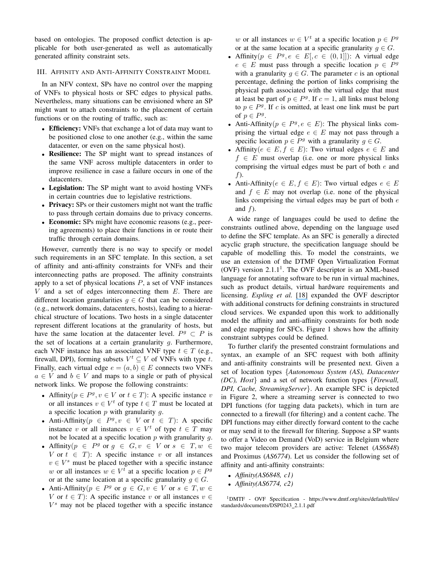based on ontologies. The proposed conflict detection is applicable for both user-generated as well as automatically generated affinity constraint sets.

#### III. AFFINITY AND ANTI-AFFINITY CONSTRAINT MODEL

In an NFV context, SPs have no control over the mapping of VNFs to physical hosts or SFC edges to physical paths. Nevertheless, many situations can be envisioned where an SP might want to attach constraints to the placement of certain functions or on the routing of traffic, such as:

- Efficiency: VNFs that exchange a lot of data may want to be positioned close to one another (e.g., within the same datacenter, or even on the same physical host).
- *•* Resilience: The SP might want to spread instances of the same VNF across multiple datacenters in order to improve resilience in case a failure occurs in one of the datacenters.
- *•* Legislation: The SP might want to avoid hosting VNFs in certain countries due to legislative restrictions.
- Privacy: SPs or their customers might not want the traffic to pass through certain domains due to privacy concerns.
- *•* Economic: SPs might have economic reasons (e.g., peering agreements) to place their functions in or route their traffic through certain domains.

However, currently there is no way to specify or model such requirements in an SFC template. In this section, a set of affinity and anti-affinity constraints for VNFs and their interconnecting paths are proposed. The affinity constraints apply to a set of physical locations *P*, a set of VNF instances *V* and a set of edges interconnecting them *E*. There are different location granularities  $g \in G$  that can be considered (e.g., network domains, datacenters, hosts), leading to a hierarchical structure of locations. Two hosts in a single datacenter represent different locations at the granularity of hosts, but have the same location at the datacenter level.  $P^g \subset P$  is the set of locations at a certain granularity *g*. Furthermore, each VNF instance has an associated VNF type  $t \in T$  (e.g., firewall, DPI), forming subsets  $V^t \subseteq V$  of VNFs with type *t*. Finally, each virtual edge  $e = (a, b) \in E$  connects two VNFs  $a \in V$  and  $b \in V$  and maps to a single or path of physical network links. We propose the following constraints:

- Affinity( $p \in P^g, v \in V$  or  $t \in T$ ): A specific instance *v* or all instances  $v \in V^t$  of type  $t \in T$  must be located at a specific location *p* with granularity *g*.
- Anti-Affinity $(p \in P^g, v \in V \text{ or } t \in T)$ : A specific instance *v* or all instances  $v \in V^t$  of type  $t \in T$  may not be located at a specific location *p* with granularity *g*.
- Affinity $(p \in P^g \text{ or } g \in G, v \in V \text{ or } s \in T, w \in$ *V* or  $t \in T$ : A specific instance *v* or all instances  $v \in V^s$  must be placed together with a specific instance *w* or all instances  $w \in V^t$  at a specific location  $p \in P^g$ or at the same location at a specific granularity  $q \in G$ .
- Anti-Affinity( $p \in P^g$  or  $g \in G, v \in V$  or  $s \in T, w \in V$ *V* or  $t \in T$ : A specific instance *v* or all instances  $v \in$  $V^s$  may not be placed together with a specific instance

*w* or all instances  $w \in V^t$  at a specific location  $p \in P^g$ or at the same location at a specific granularity  $q \in G$ .

- Affinity $(p \in P^g, e \in E, c \in (0, 1])$ : A virtual edge  $e \in E$  must pass through a specific location  $p \in P^g$ with a granularity  $g \in G$ . The parameter *c* is an optional percentage, defining the portion of links comprising the physical path associated with the virtual edge that must at least be part of  $p \in P^g$ . If  $c = 1$ , all links must belong to  $p \in P<sup>g</sup>$ . If *c* is omitted, at least one link must be part of  $p \in P^g$ .
- Anti-Affinity $(p \in P^g, e \in E)$ : The physical links comprising the virtual edge  $e \in E$  may not pass through a specific location  $p \in P^g$  with a granularity  $g \in G$ .
- Affinity $(e \in E, f \in E)$ : Two virtual edges  $e \in E$  and  $f \in E$  must overlap (i.e. one or more physical links comprising the virtual edges must be part of both *e* and *f*).
- Anti-Affinity $(e \in E, f \in E)$ : Two virtual edges  $e \in E$ and  $f \in E$  may not overlap (i.e. none of the physical links comprising the virtual edges may be part of both *e* and *f*).

A wide range of languages could be used to define the constraints outlined above, depending on the language used to define the SFC template. As an SFC is generally a directed acyclic graph structure, the specification language should be capable of modelling this. To model the constraints, we use an extension of the DTMF Open Virtualization Format (OVF) version  $2.1.1<sup>1</sup>$ . The OVF descriptor is an XML-based language for annotating software to be run in virtual machines, such as product details, virtual hardware requirements and licensing. *Espling et al.* [\[18\]](https://www.researchgate.net/publication/285445480_Modeling_and_Placement_of_Cloud_Services_with_Internal_Structure?el=1_x_8&enrichId=rgreq-908ed396c7b409fbef5d1551ddf42111-XXX&enrichSource=Y292ZXJQYWdlOzI5ODE2NzkzMDtBUzozMzk0NjgzNTY3MzQ5NzZAMTQ1Nzk0Njk3MTkyNw==) expanded the OVF descriptor with additional constructs for defining constraints in structured cloud services. We expanded upon this work to additionally model the affinity and anti-affinity constraints for both node and edge mapping for SFCs. Figure 1 shows how the affinity constraint subtypes could be defined.

To further clarify the presented constraint formulations and syntax, an example of an SFC request with both affinity and anti-affinity constraints will be presented next. Given a set of location types *{Autonomous System (AS), Datacenter (DC), Host}* and a set of network function types *{Firewall, DPI, Cache, StreamingServer}*. An example SFC is depicted in Figure 2, where a streaming server is connected to two DPI functions (for tagging data packets), which in turn are connected to a firewall (for filtering) and a content cache. The DPI functions may either directly forward content to the cache or may send it to the firewall for filtering. Suppose a SP wants to offer a Video on Demand (VoD) service in Belgium where two major telecom providers are active: Telenet (*AS6848*) and Proximus (*AS6774*). Let us consider the following set of affinity and anti-affinity constraints:

- *• Affinity(AS6848, c1)*
- *• Affinity(AS6774, c2)*

<sup>1</sup>DMTF - OVF Specification - https://www.dmtf.org/sites/default/files/ standards/documents/DSP0243\_2.1.1.pdf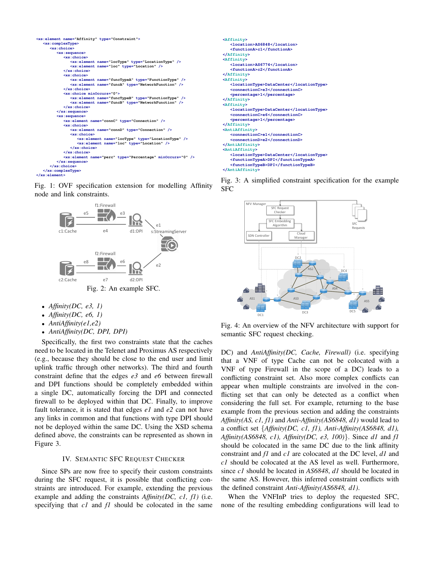```
<xs:element name="Affinity" type="Constraint">
   <xs:complexType>
       <xs:choice>
           <xs:sequence>
                <xs:choice>
                    <xs:element name="locType" type="LocationType" />
                                                   <xs:element name="loc" type="Location" />
                </xs:choice>
                <xs:choice>
                    <xs:element name="funcTypeA" type="FunctionType" />
<xs:element name="funcA" type="NetworkFunction" />
                </xs:choice>
                <xs:choice minOccurs="0">
                    <xs:element name="funcTypeB" type="FunctionType" />
<xs:element name="funcB" type="NetworkFunction" />
                </xs:choice>
            </xs:sequence>
            <xs:sequence>
                               <xs:element name="connC" type="Connection" />
                <xs:choice>
                    <xs:element name="connD" type="Connection" />
                    <xs:choice>
                        <xs:element name="locType" type="LocationType" />
<xs:element name="loc" type="Location" />
                    </xs:choice>
                </xs:choice>
                                       <xs:element name="perc" type="Percentage" minOccurs="0" />
           </xs:sequence>
        </xs:choice>
    </xs:complexType>
</xs:element>
```
Fig. 1: OVF specification extension for modelling Affinity node and link constraints.



- *• Affinity(DC, e3, 1)*
- *• Affinity(DC, e6, 1)*
- *• AntiAffinity(e1,e2)*
- *• AntiAffinity(DC, DPI, DPI)*

Specifically, the first two constraints state that the caches need to be located in the Telenet and Proximus AS respectively (e.g., because they should be close to the end user and limit uplink traffic through other networks). The third and fourth constraint define that the edges *e3* and *e6* between firewall and DPI functions should be completely embedded within a single DC, automatically forcing the DPI and connected firewall to be deployed within that DC. Finally, to improve fault tolerance, it is stated that edges *e1* and *e2* can not have any links in common and that functions with type DPI should not be deployed within the same DC. Using the XSD schema defined above, the constraints can be represented as shown in Figure 3.

#### IV. SEMANTIC SFC REQUEST CHECKER

Since SPs are now free to specify their custom constraints during the SFC request, it is possible that conflicting constraints are introduced. For example, extending the previous example and adding the constraints *Affinity(DC, c1, f1)* (i.e. specifying that *c1* and *f1* should be colocated in the same



Fig. 3: A simplified constraint specification for the example SFC



Fig. 4: An overview of the NFV architecture with support for semantic SFC request checking.

DC) and *AntiAffinity(DC, Cache, Firewall)* (i.e. specifying that a VNF of type Cache can not be colocated with a VNF of type Firewall in the scope of a DC) leads to a conflicting constraint set. Also more complex conflicts can appear when multiple constraints are involved in the conflicting set that can only be detected as a conflict when considering the full set. For example, returning to the base example from the previous section and adding the constraints *Affinity(AS, c1, f1)* and *Anti-Affinity(AS6848, d1)* would lead to a conflict set *{Affinity(DC, c1, f1), Anti-Affinity(AS6848, d1), Affinity(AS6848, c1), Affinity(DC, e3, 100)}*. Since *d1* and *f1* should be colocated in the same DC due to the link affinity constraint and *f1* and *c1* are colocated at the DC level, *d1* and *c1* should be colocated at the AS level as well. Furthermore, since *c1* should be located in *AS6848*, *d1* should be located in the same AS. However, this inferred constraint conflicts with the defined constraint *Anti-Affinity(AS6848, d1)*.

When the VNFInP tries to deploy the requested SFC, none of the resulting embedding configurations will lead to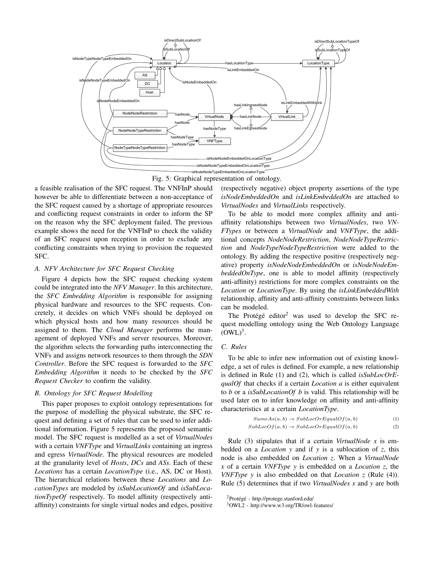

Fig. 5: Graphical representation of ontology.

a feasible realisation of the SFC request. The VNFInP should however be able to differentiate between a non-acceptance of the SFC request caused by a shortage of appropriate resources and conflicting request constraints in order to inform the SP on the reason why the SFC deployment failed. The previous example shows the need for the VNFInP to check the validity of an SFC request upon reception in order to exclude any conflicting constraints when trying to provision the requested SFC.

#### *A. NFV Architecture for SFC Request Checking*

Figure 4 depicts how the SFC request checking system could be integrated into the *NFV Manager*. In this architecture, the *SFC Embedding Algorithm* is responsible for assigning physical hardware and resources to the SFC requests. Concretely, it decides on which VNFs should be deployed on which physical hosts and how many resources should be assigned to them. The *Cloud Manager* performs the management of deployed VNFs and server resources. Moreover, the algorithm selects the forwarding paths interconnecting the VNFs and assigns network resources to them through the *SDN Controller*. Before the SFC request is forwarded to the *SFC Embedding Algorithm* it needs to be checked by the *SFC Request Checker* to confirm the validity.

#### *B. Ontology for SFC Request Modelling*

This paper proposes to exploit ontology representations for the purpose of modelling the physical substrate, the SFC request and defining a set of rules that can be used to infer additional information. Figure 5 represents the proposed semantic model. The SFC request is modelled as a set of *VirtualNodes* with a certain *VNFType* and *VirtualLinks* containing an ingress and egress *VirtualNode*. The physical resources are modeled at the granularity level of *Hosts*, *DCs* and *ASs*. Each of these *Locations* has a certain *LocationType* (i.e., AS, DC or Host). The hierarchical relations between these *Locations* and *LocationTypes* are modeled by *isSubLocationOf* and *isSubLocationTypeOf* respectively. To model affinity (respectively antiaffinity) constraints for single virtual nodes and edges, positive

(respectively negative) object property assertions of the type *isNodeEmbeddedOn* and *isLinkEmbeddedOn* are attached to *VirtualNodes* and *VirtualLinks* respectively.

To be able to model more complex affinity and antiaffinity relationships between two *VirtualNodes*, two *VN-FTypes* or between a *VirtualNode* and *VNFType*, the additional concepts *NodeNodeRestriction*, *NodeNodeTypeRestriction* and *NodeTypeNodeTypeRestriction* were added to the ontology. By adding the respective positive (respectively negative) property *isNodeNodeEmbeddedOn* or *isNodeNodeEmbeddedOnType*, one is able to model affinity (respectively anti-affinity) restrictions for more complex constraints on the *Location* or *LocationType*. By using the *isLinkEmbeddedWith* relationship, affinity and anti-affinity constraints between links can be modeled.

The Protégé editor<sup>2</sup> was used to develop the SFC request modelling ontology using the Web Ontology Language  $(OWL)^3$ .

#### *C. Rules*

To be able to infer new information out of existing knowledge, a set of rules is defined. For example, a new relationship is defined in Rule (1) and (2), which is called *isSubLocOrEqualOf* that checks if a certain *Location a* is either equivalent to *b* or a *isSubLocationOf b* is valid. This relationship will be used later on to infer knowledge on affinity and anti-affinity characteristics at a certain *LocationType*.

$$
SameAs(a, b) \rightarrow SubLocOrEqualOf(a, b)
$$
\n
$$
SubLocOf(a, b) \rightarrow SubLocOrEqualOf(a, b)
$$
\n
$$
(2)
$$

Rule (3) stipulates that if a certain *VirtualNode x* is embedded on a *Location y* and if *y* is a sublocation of *z*, this node is also embedded on *Location z*. When a *VirtualNode x* of a certain *VNFType y* is embedded on a *Location z*, the *VNFType y* is also embedded on that *Location z* (Rule (4)). Rule (5) determines that if two *VirtualNodes x* and *y* are both

 ${}^{2}$ Protégé - http://protege.stanford.edu/

<sup>3</sup>OWL2 - http://www.w3.org/TR/owl-features/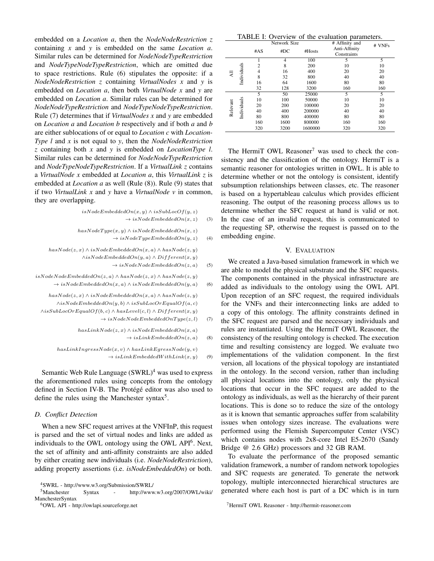embedded on a *Location a*, then the *NodeNodeRestriction z* containing *x* and *y* is embedded on the same *Location a*. Similar rules can be determined for *NodeNodeTypeRestriction* and *NodeTypeNodeTypeRestriction*, which are omitted due to space restrictions. Rule (6) stipulates the opposite: if a *NodeNodeRestriction z* containing *VirtualNodes x* and *y* is embedded on *Location a*, then both *VirtualNode x* and *y* are embedded on *Location a*. Similar rules can be determined for *NodeNodeTypeRestriction* and *NodeTypeNodeTypeRestriction*. Rule (7) determines that if *VirtualNodes x* and *y* are embedded on *Location a* and *Location b* respectively and if both *a* and *b* are either sublocations of or equal to *Location c* with *Location-Type l* and *x* is not equal to *y*, then the *NodeNodeRestriction z* containing both *x* and *y* is embedded on *LocationType l*. Similar rules can be determined for *NodeNodeTypeRestriction* and *NodeTypeNodeTypeRestriction*. If a *VirtualLink z* contains a *VirtualNode x* embedded at *Location a*, this *VirtualLink z* is embedded at *Location a* as well (Rule (8)). Rule (9) states that if two *VirtualLink x* and *y* have a *VirtualNode v* in common, they are overlapping.

isNodeEmbeddedOn
$$
(x, y) \land isSubLocOf(y, z)
$$
  
 $\rightarrow isNodeEmbeddedOn(x, z)$  (3)

 $hasNodeType(x, y) \wedge isNodeEmbeddedOn(x, z)$  $\rightarrow$  *isNodeTypeEmbeddedOn*(*y*, *z*) (4)

 $hasNode(z,x)\land isNodeEmbeddedOn(x,a)\land hasNode(z,y)$  $\wedge$ *isNodeEmbeddedOn*(*y, a*)  $\wedge$  *Different*(*x, y*)

 $\rightarrow$  *isNodeNodeEmbeddedOn*(*z*, *a*) (5)

 $isNodeNodeEmbeddedOn(z,a) \wedge hasNode(z,x) \wedge hasNode(z,y)$  $\rightarrow$  *isNodeEmbeddedOn*(*x, a*)  $\land$  *isNodeEmbeddedOn*(*y, a*) (6)

 $hasNode(z, x) \land isNodeEmbeddedOn(x, a) \land hasNode(z, y)$  $\land$ *isNodeEmbeddedOn*(*y, b*)  $\land$ *isSubLocOrEqualOf*(*a, c*)  $\land isSubLocOrEqualOf(b, c) \land hasLevel(c, l) \land Different(x, y)$  $\rightarrow$  *isNodeNodeEmbeddedOnType*(*z*, *l*) (7)

> $hasLinkNode(z, x) \wedge isNodeEmbeddedOn(x, a)$  $\rightarrow$  *isLinkEmbeddedOn*(*z*, *a*) (8)

 $hasLinkIngressNode(x, v) \wedge hasLinkEgressNode(y, v)$  $\rightarrow$  *isLinkEmbeddedWithLink*(*x, y*) (9)

Semantic Web Rule Language  $(SWRL)^4$  was used to express the aforementioned rules using concepts from the ontology defined in Section IV-B. The Protégé editor was also used to define the rules using the Manchester syntax<sup>5</sup>.

#### *D. Conflict Detection*

When a new SFC request arrives at the VNFInP, this request is parsed and the set of virtual nodes and links are added as individuals to the OWL ontology using the OWL API<sup>6</sup>. Next, the set of affinity and anti-affinity constraints are also added by either creating new individuals (i.e. *NodeNodeRestriction*), adding property assertions (i.e. *isNodeEmbeddedOn*) or both.

TABLE I: Overview of the evaluation parameters.

|          |             | Network Size |                |         | # Affinity and               | # VNFs |
|----------|-------------|--------------|----------------|---------|------------------------------|--------|
|          |             | #AS          | #DC            | #Hosts  | Anti-Affinity<br>Constraints |        |
| ₹        | Individuals |              | $\overline{4}$ | 100     | 5                            | 5      |
|          |             | 2            | 8              | 200     | 10                           | 10     |
|          |             | 4            | 16             | 400     | 20                           | 20     |
|          |             | 8            | 32             | 800     | 40                           | 40     |
|          |             | 16           | 64             | 1600    | 80                           | 80     |
|          |             | 32           | 128            | 3200    | 160                          | 160    |
| Relevant | Individuals | 5            | 50             | 25000   | 5                            | 5      |
|          |             | 10           | 100            | 50000   | 10                           | 10     |
|          |             | 20           | 200            | 100000  | 20                           | 20     |
|          |             | 40           | 400            | 200000  | 40                           | 40     |
|          |             | 80           | 800            | 400000  | 80                           | 80     |
|          |             | 160          | 1600           | 800000  | 160                          | 160    |
|          |             | 320          | 3200           | 1600000 | 320                          | 320    |

The HermiT OWL Reasoner<sup>7</sup> was used to check the consistency and the classification of the ontology. HermiT is a semantic reasoner for ontologies written in OWL. It is able to determine whether or not the ontology is consistent, identify subsumption relationships between classes, etc. The reasoner is based on a hypertableau calculus which provides efficient reasoning. The output of the reasoning process allows us to determine whether the SFC request at hand is valid or not. In the case of an invalid request, this is communicated to the requesting SP, otherwise the request is passed on to the embedding engine.

#### V. EVALUATION

We created a Java-based simulation framework in which we are able to model the physical substrate and the SFC requests. The components contained in the physical infrastructure are added as individuals to the ontology using the OWL API. Upon reception of an SFC request, the required individuals for the VNFs and their interconnecting links are added to a copy of this ontology. The affinity constraints defined in the SFC request are parsed and the necessary individuals and rules are instantiated. Using the HermiT OWL Reasoner, the consistency of the resulting ontology is checked. The execution time and resulting consistency are logged. We evaluate two implementations of the validation component. In the first version, all locations of the physical topology are instantiated in the ontology. In the second version, rather than including all physical locations into the ontology, only the physical locations that occur in the SFC request are added to the ontology as individuals, as well as the hierarchy of their parent locations. This is done so to reduce the size of the ontology as it is known that semantic approaches suffer from scalability issues when ontology sizes increase. The evaluations were performed using the Flemish Supercomputer Center (VSC) which contains nodes with 2x8-core Intel E5-2670 (Sandy Bridge @ 2.6 GHz) processors and 32 GB RAM.

To evaluate the performance of the proposed semantic validation framework, a number of random network topologies and SFC requests are generated. To generate the network topology, multiple interconnected hierarchical structures are generated where each host is part of a DC which is in turn

<sup>4</sup>SWRL - http://www.w3.org/Submission/SWRL/

<sup>5</sup>Manchester Syntax - http://www.w3.org/2007/OWL/wiki/ ManchesterSyntax

<sup>6</sup>OWL API - http://owlapi.sourceforge.net

<sup>7</sup>HermiT OWL Reasoner - http://hermit-reasoner.com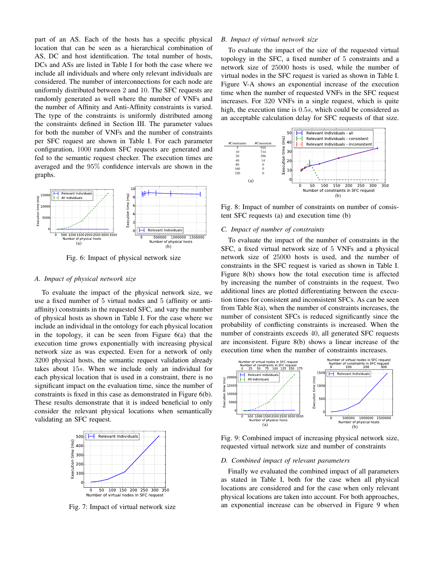part of an AS. Each of the hosts has a specific physical location that can be seen as a hierarchical combination of AS, DC and host identification. The total number of hosts, DCs and ASs are listed in Table I for both the case where we include all individuals and where only relevant individuals are considered. The number of interconnections for each node are uniformly distributed between 2 and 10. The SFC requests are randomly generated as well where the number of VNFs and the number of Affinity and Anti-Affinity constraints is varied. The type of the constraints is uniformly distributed among the constraints defined in Section III. The parameter values for both the number of VNFs and the number of constraints per SFC request are shown in Table I. For each parameter configuration, 1000 random SFC requests are generated and fed to the semantic request checker. The execution times are averaged and the 95% confidence intervals are shown in the graphs.



Fig. 6: Impact of physical network size

#### *A. Impact of physical network size*

To evaluate the impact of the physical network size, we use a fixed number of 5 virtual nodes and 5 (affinity or antiaffinity) constraints in the requested SFC, and vary the number of physical hosts as shown in Table I. For the case where we include an individual in the ontology for each physical location in the topology, it can be seen from Figure  $6(a)$  that the execution time grows exponentially with increasing physical network size as was expected. Even for a network of only 3200 physical hosts, the semantic request validation already takes about 15*s*. When we include only an individual for each physical location that is used in a constraint, there is no significant impact on the evaluation time, since the number of constraints is fixed in this case as demonstrated in Figure 6(b). These results demonstrate that it is indeed beneficial to only consider the relevant physical locations when semantically validating an SFC request.



Fig. 7: Impact of virtual network size

#### *B. Impact of virtual network size*

To evaluate the impact of the size of the requested virtual topology in the SFC, a fixed number of 5 constraints and a network size of 25000 hosts is used, while the number of virtual nodes in the SFC request is varied as shown in Table I. Figure V-A shows an exponential increase of the execution time when the number of requested VNFs in the SFC request increases. For 320 VNFs in a single request, which is quite high, the execution time is 0*.*5*s*, which could be considered as an acceptable calculation delay for SFC requests of that size.



Fig. 8: Impact of number of constraints on number of consistent SFC requests (a) and execution time (b)

#### *C. Impact of number of constraints*

To evaluate the impact of the number of constraints in the SFC, a fixed virtual network size of 5 VNFs and a physical network size of 25000 hosts is used, and the number of constraints in the SFC request is varied as shown in Table I. Figure 8(b) shows how the total execution time is affected by increasing the number of constraints in the request. Two additional lines are plotted differentiating between the execution times for consistent and inconsistent SFCs. As can be seen from Table 8(a), when the number of constraints increases, the number of consistent SFCs is reduced significantly since the probability of conflicting constraints is increased. When the number of constraints exceeds 40, all generated SFC requests are inconsistent. Figure 8(b) shows a linear increase of the execution time when the number of constraints increases.



Fig. 9: Combined impact of increasing physical network size, requested virtual network size and number of constraints

#### *D. Combined impact of relevant parameters*

Finally we evaluated the combined impact of all parameters as stated in Table I, both for the case when all physical locations are considered and for the case when only relevant physical locations are taken into account. For both approaches, an exponential increase can be observed in Figure 9 when